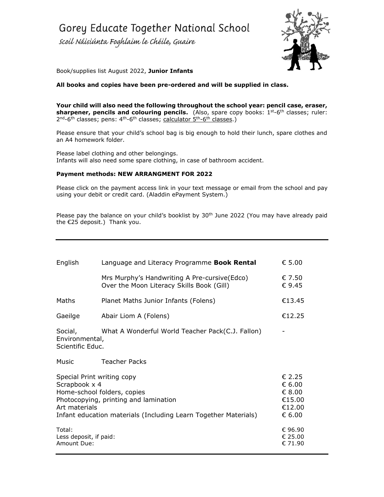Scoil Náisiúnta Foghlaim le Chéile, Guaire



Book/supplies list August 2022, **Junior Infants**

### **All books and copies have been pre-ordered and will be supplied in class.**

**Your child will also need the following throughout the school year: pencil case, eraser, sharpener, pencils and colouring pencils.** (Also, spare copy books: 1st-6th classes; ruler: 2<sup>nd</sup>-6<sup>th</sup> classes; pens: 4<sup>th</sup>-6<sup>th</sup> classes; calculator 5<sup>th</sup>-6<sup>th</sup> classes.)

Please ensure that your child's school bag is big enough to hold their lunch, spare clothes and an A4 homework folder.

Please label clothing and other belongings. Infants will also need some spare clothing, in case of bathroom accident.

#### **Payment methods: NEW ARRANGMENT FOR 2022**

Please click on the payment access link in your text message or email from the school and pay using your debit or credit card. (Aladdin ePayment System.)

Please pay the balance on your child's booklist by  $30<sup>th</sup>$  June 2022 (You may have already paid the €25 deposit.) Thank you.

| English                                                                                                                                                                                                 | Language and Literacy Programme <b>Book Rental</b>                                         | $\epsilon$ 5.00                                          |
|---------------------------------------------------------------------------------------------------------------------------------------------------------------------------------------------------------|--------------------------------------------------------------------------------------------|----------------------------------------------------------|
|                                                                                                                                                                                                         | Mrs Murphy's Handwriting A Pre-cursive (Edco)<br>Over the Moon Literacy Skills Book (Gill) | € 7.50<br>€9.45                                          |
| Maths                                                                                                                                                                                                   | Planet Maths Junior Infants (Folens)                                                       | €13.45                                                   |
| Gaeilge                                                                                                                                                                                                 | Abair Liom A (Folens)                                                                      | €12.25                                                   |
| What A Wonderful World Teacher Pack(C.J. Fallon)<br>Social,<br>Environmental,<br>Scientific Educ.                                                                                                       |                                                                                            |                                                          |
| Music                                                                                                                                                                                                   | <b>Teacher Packs</b>                                                                       |                                                          |
| Special Print writing copy<br>Scrapbook x 4<br>Home-school folders, copies<br>Photocopying, printing and lamination<br>Art materials<br>Infant education materials (Including Learn Together Materials) |                                                                                            | € 2.25<br>€ 6.00<br>€ 8.00<br>€15.00<br>€12.00<br>€ 6.00 |
| Total:<br>Less deposit, if paid:<br>Amount Due:                                                                                                                                                         |                                                                                            | € 96.90<br>€ 25.00<br>€ 71.90                            |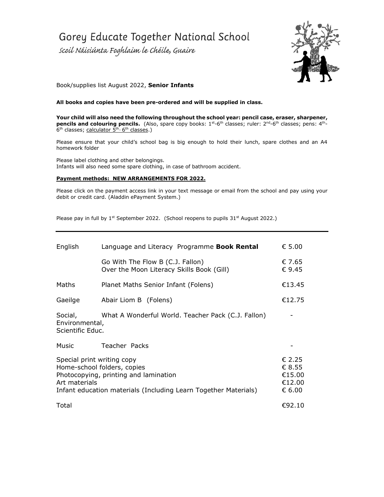Scoil Náisiúnta Foghlaim le Chéile, Guaire



### Book/supplies list August 2022, **Senior Infants**

#### **All books and copies have been pre-ordered and will be supplied in class.**

**Your child will also need the following throughout the school year: pencil case, eraser, sharpener, pencils and colouring pencils.** (Also, spare copy books: 1st-6th classes; ruler: 2<sup>nd</sup>-6<sup>th</sup> classes; pens: 4<sup>th</sup>-6<sup>th</sup> classes; calculator 5<sup>th</sup>-6<sup>th</sup> classes.)

Please ensure that your child's school bag is big enough to hold their lunch, spare clothes and an A4 homework folder

Please label clothing and other belongings. Infants will also need some spare clothing, in case of bathroom accident.

#### **Payment methods: NEW ARRANGEMENTS FOR 2022.**

Please click on the payment access link in your text message or email from the school and pay using your debit or credit card. (Aladdin ePayment System.)

| English                                                                                                                                                                                | Language and Literacy Programme Book Rental                                   | $\epsilon$ 5.00                                                           |
|----------------------------------------------------------------------------------------------------------------------------------------------------------------------------------------|-------------------------------------------------------------------------------|---------------------------------------------------------------------------|
|                                                                                                                                                                                        | Go With The Flow B (C.J. Fallon)<br>Over the Moon Literacy Skills Book (Gill) | € 7.65<br>$\epsilon$ 9.45                                                 |
| Maths                                                                                                                                                                                  | Planet Maths Senior Infant (Folens)                                           | €13.45                                                                    |
| Gaeilge                                                                                                                                                                                | Abair Liom B (Folens)                                                         | €12.75                                                                    |
| What A Wonderful World. Teacher Pack (C.J. Fallon)<br>Social,<br>Environmental,<br>Scientific Educ.                                                                                    |                                                                               |                                                                           |
| Music                                                                                                                                                                                  | Teacher Packs                                                                 |                                                                           |
| Special print writing copy<br>Home-school folders, copies<br>Photocopying, printing and lamination<br>Art materials<br>Infant education materials (Including Learn Together Materials) |                                                                               | $\epsilon$ 2.25<br>$\epsilon$ 8.55<br>€15.00<br>€12.00<br>$\epsilon$ 6.00 |
| Total                                                                                                                                                                                  |                                                                               | €92.10                                                                    |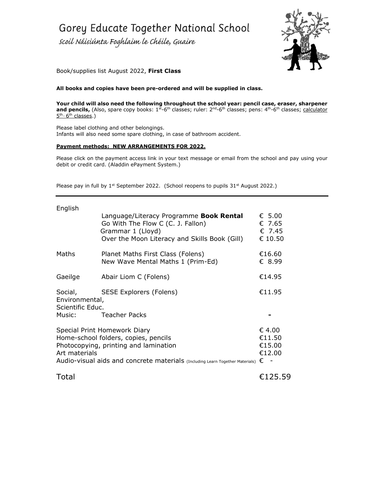scoil Náisiúnta Foghlaim le Chéile, Guaire



Book/supplies list August 2022, **First Class**

**All books and copies have been pre-ordered and will be supplied in class.**

**Your child will also need the following throughout the school year: pencil case, eraser, sharpener** and pencils, (Also, spare copy books: 1<sup>st</sup>-6<sup>th</sup> classes; ruler: 2<sup>nd</sup>-6<sup>th</sup> classes; pens: 4<sup>th</sup>-6<sup>th</sup> classes; <u>calculator</u> 5<sup>th</sup>-6<sup>th</sup> classes.)

Please label clothing and other belongings. Infants will also need some spare clothing, in case of bathroom accident.

#### **Payment methods: NEW ARRANGEMENTS FOR 2022.**

Please click on the payment access link in your text message or email from the school and pay using your debit or credit card. (Aladdin ePayment System.)

| English                                                                                                                                                                                                                    |                                                                                                                                                    |                                                         |
|----------------------------------------------------------------------------------------------------------------------------------------------------------------------------------------------------------------------------|----------------------------------------------------------------------------------------------------------------------------------------------------|---------------------------------------------------------|
|                                                                                                                                                                                                                            | Language/Literacy Programme Book Rental<br>Go With The Flow C (C. J. Fallon)<br>Grammar 1 (Lloyd)<br>Over the Moon Literacy and Skills Book (Gill) | $\epsilon$ 5.00<br>$\epsilon$ 7.65<br>€ 7.45<br>€ 10.50 |
| Maths                                                                                                                                                                                                                      | Planet Maths First Class (Folens)<br>New Wave Mental Maths 1 (Prim-Ed)                                                                             | €16.60<br>€ 8.99                                        |
| Gaeilge                                                                                                                                                                                                                    | Abair Liom C (Folens)                                                                                                                              | €14.95                                                  |
| Social, SESE Explorers (Folens)<br>Environmental,<br>Scientific Educ.<br>Music:<br><b>Teacher Packs</b>                                                                                                                    |                                                                                                                                                    | €11.95                                                  |
| Special Print Homework Diary<br>Home-school folders, copies, pencils<br>Photocopying, printing and lamination<br>Art materials<br>Audio-visual aids and concrete materials (Including Learn Together Materials) $\epsilon$ |                                                                                                                                                    | $\epsilon$ 4.00<br>€11.50<br>€15.00<br>€12.00           |
| Total                                                                                                                                                                                                                      |                                                                                                                                                    | €125.59                                                 |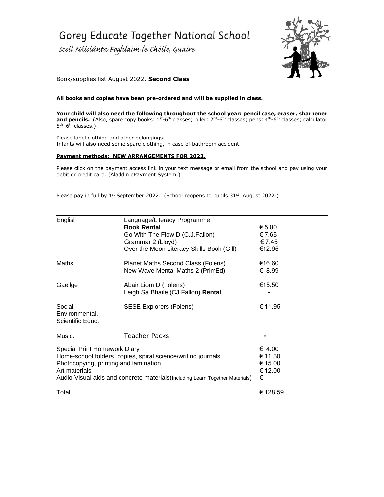Scoil Náisiúnta Foghlaim le Chéile, Guaire



## Book/supplies list August 2022, **Second Class**

#### **All books and copies have been pre-ordered and will be supplied in class.**

**Your child will also need the following throughout the school year: pencil case, eraser, sharpener**  and pencils. (Also, spare copy books: 1<sup>st</sup>-6<sup>th</sup> classes; ruler: 2<sup>nd</sup>-6<sup>th</sup> classes; pens: 4<sup>th</sup>-6<sup>th</sup> classes; <u>calculator</u> 5<sup>th</sup>-6<sup>th</sup> classes.)

Please label clothing and other belongings. Infants will also need some spare clothing, in case of bathroom accident.

#### **Payment methods: NEW ARRANGEMENTS FOR 2022.**

Please click on the payment access link in your text message or email from the school and pay using your debit or credit card. (Aladdin ePayment System.)

| English                                                                                                                                                                                                                                 | Language/Literacy Programme<br><b>Book Rental</b><br>Go With The Flow D (C.J.Fallon)<br>Grammar 2 (Lloyd)<br>Over the Moon Literacy Skills Book (Gill) | € 5.00<br>€ 7.65<br>€7.45<br>€12.95                    |
|-----------------------------------------------------------------------------------------------------------------------------------------------------------------------------------------------------------------------------------------|--------------------------------------------------------------------------------------------------------------------------------------------------------|--------------------------------------------------------|
| Maths                                                                                                                                                                                                                                   | Planet Maths Second Class (Folens)<br>New Wave Mental Maths 2 (PrimEd)                                                                                 | €16.60<br>€ 8.99                                       |
| Gaeilge                                                                                                                                                                                                                                 | Abair Liom D (Folens)<br>Leigh Sa Bhaile (CJ Fallon) Rental                                                                                            | €15.50                                                 |
| Social,<br>Environmental,<br>Scientific Educ.                                                                                                                                                                                           | <b>SESE Explorers (Folens)</b>                                                                                                                         | € 11.95                                                |
| Music:                                                                                                                                                                                                                                  | Teacher Packs                                                                                                                                          |                                                        |
| Special Print Homework Diary<br>Home-school folders, copies, spiral science/writing journals<br>Photocopying, printing and lamination<br>Art materials<br>Audio-Visual aids and concrete materials (Including Learn Together Materials) |                                                                                                                                                        | € 4.00<br>€ 11.50<br>€ 15.00<br>€ 12.00<br>€<br>$\sim$ |
| Total                                                                                                                                                                                                                                   |                                                                                                                                                        | € 128.59                                               |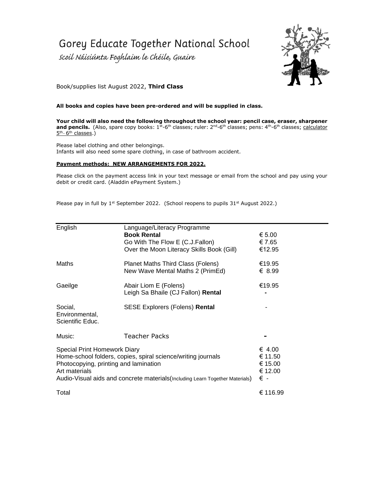Scoil Náisiúnta Foghlaim le Chéile, Guaire



Book/supplies list August 2022, **Third Class**

#### **All books and copies have been pre-ordered and will be supplied in class.**

**Your child will also need the following throughout the school year: pencil case, eraser, sharpener**  and pencils. (Also, spare copy books: 1<sup>st</sup>-6<sup>th</sup> classes; ruler: 2<sup>nd</sup>-6<sup>th</sup> classes; pens: 4<sup>th</sup>-6<sup>th</sup> classes; calculator 5<sup>th</sup>-6<sup>th</sup> classes.)

Please label clothing and other belongings. Infants will also need some spare clothing, in case of bathroom accident.

#### **Payment methods: NEW ARRANGEMENTS FOR 2022.**

Please click on the payment access link in your text message or email from the school and pay using your debit or credit card. (Aladdin ePayment System.)

| English                                                      | Language/Literacy Programme<br><b>Book Rental</b>                             | € 5.00   |
|--------------------------------------------------------------|-------------------------------------------------------------------------------|----------|
|                                                              | Go With The Flow E (C.J.Fallon)                                               | € 7.65   |
|                                                              | Over the Moon Literacy Skills Book (Gill)                                     | €12.95   |
| Maths                                                        | Planet Maths Third Class (Folens)                                             | €19.95   |
|                                                              | New Wave Mental Maths 2 (PrimEd)                                              | € 8.99   |
| Gaeilge                                                      | Abair Liom E (Folens)                                                         | €19.95   |
|                                                              | Leigh Sa Bhaile (CJ Fallon) Rental                                            |          |
| Social,                                                      | <b>SESE Explorers (Folens) Rental</b>                                         |          |
| Environmental,<br>Scientific Educ.                           |                                                                               |          |
| Music:                                                       | Teacher Packs                                                                 |          |
| <b>Special Print Homework Diary</b>                          |                                                                               | € 4.00   |
| Home-school folders, copies, spiral science/writing journals |                                                                               | € 11.50  |
| Photocopying, printing and lamination                        |                                                                               | € 15.00  |
| Art materials                                                |                                                                               | € 12.00  |
|                                                              | Audio-Visual aids and concrete materials (Including Learn Together Materials) | € -      |
| Total                                                        |                                                                               | € 116.99 |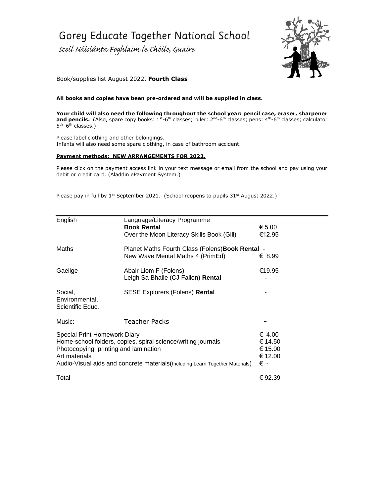Scoil Náisiúnta Foghlaim le Chéile, Guaire



## Book/supplies list August 2022, **Fourth Class**

#### **All books and copies have been pre-ordered and will be supplied in class.**

**Your child will also need the following throughout the school year: pencil case, eraser, sharpener**  and pencils. (Also, spare copy books: 1<sup>st</sup>-6<sup>th</sup> classes; ruler: 2<sup>nd</sup>-6<sup>th</sup> classes; pens: 4<sup>th</sup>-6<sup>th</sup> classes; <u>calculator</u> 5<sup>th</sup>-6<sup>th</sup> classes.)

Please label clothing and other belongings. Infants will also need some spare clothing, in case of bathroom accident.

#### **Payment methods: NEW ARRANGEMENTS FOR 2022.**

Please click on the payment access link in your text message or email from the school and pay using your debit or credit card. (Aladdin ePayment System.)

| English                                                                       | Language/Literacy Programme<br><b>Book Rental</b>            | € 5.00  |
|-------------------------------------------------------------------------------|--------------------------------------------------------------|---------|
|                                                                               | Over the Moon Literacy Skills Book (Gill)                    | €12.95  |
| Maths<br>Planet Maths Fourth Class (Folens) Book Rental -                     |                                                              |         |
|                                                                               | New Wave Mental Maths 4 (PrimEd)                             | € 8.99  |
| Gaeilge                                                                       | Abair Liom F (Folens)                                        | €19.95  |
|                                                                               | Leigh Sa Bhaile (CJ Fallon) Rental                           |         |
| Social,<br>Environmental,<br>Scientific Educ.                                 | <b>SESE Explorers (Folens) Rental</b>                        |         |
| Music:                                                                        | Teacher Packs                                                |         |
| Special Print Homework Diary                                                  |                                                              | € 4.00  |
|                                                                               | Home-school folders, copies, spiral science/writing journals | € 14.50 |
| Photocopying, printing and lamination                                         |                                                              | € 15.00 |
| Art materials                                                                 |                                                              | € 12.00 |
| Audio-Visual aids and concrete materials (Including Learn Together Materials) |                                                              | € -     |
| Total                                                                         |                                                              | € 92.39 |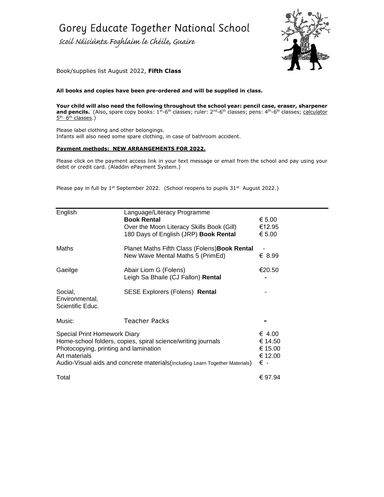scoil Náisiúnta Foghlaim le Chéile, Guaire



Book/supplies list August 2022, **Fifth Class**

**All books and copies have been pre-ordered and will be supplied in class.**

**Your child will also need the following throughout the school year: pencil case, eraser, sharpener**  and pencils. (Also, spare copy books: 1<sup>st</sup>-6<sup>th</sup> classes; ruler: 2<sup>nd</sup>-6<sup>th</sup> classes; pens: 4<sup>th</sup>-6<sup>th</sup> classes; calculator 5<sup>th</sup>-6<sup>th</sup> classes.)

Please label clothing and other belongings. Infants will also need some spare clothing, in case of bathroom accident.

#### **Payment methods: NEW ARRANGEMENTS FOR 2022.**

Please click on the payment access link in your text message or email from the school and pay using your debit or credit card. (Aladdin ePayment System.)

| English                                                                                                                                                                                                                                 | Language/Literacy Programme<br><b>Book Rental</b><br>Over the Moon Literacy Skills Book (Gill)<br>180 Days of English (JRP) Book Rental | € 5.00<br>€12.95<br>€ 5.00                     |
|-----------------------------------------------------------------------------------------------------------------------------------------------------------------------------------------------------------------------------------------|-----------------------------------------------------------------------------------------------------------------------------------------|------------------------------------------------|
| Maths                                                                                                                                                                                                                                   | Planet Maths Fifth Class (Folens) Book Rental<br>New Wave Mental Maths 5 (PrimEd)                                                       | € 8.99                                         |
| Gaeilge                                                                                                                                                                                                                                 | Abair Liom G (Folens)<br>Leigh Sa Bhaile (CJ Fallon) Rental                                                                             | €20.50                                         |
| Social,<br>Environmental,<br>Scientific Educ.                                                                                                                                                                                           | <b>SESE Explorers (Folens) Rental</b>                                                                                                   |                                                |
| Music:                                                                                                                                                                                                                                  | <b>Teacher Packs</b>                                                                                                                    |                                                |
| Special Print Homework Diary<br>Home-school folders, copies, spiral science/writing journals<br>Photocopying, printing and lamination<br>Art materials<br>Audio-Visual aids and concrete materials (Including Learn Together Materials) |                                                                                                                                         | € 4.00<br>€ 14.50<br>€ 15.00<br>€ 12.00<br>€ - |
| Total                                                                                                                                                                                                                                   |                                                                                                                                         | € 97.94                                        |